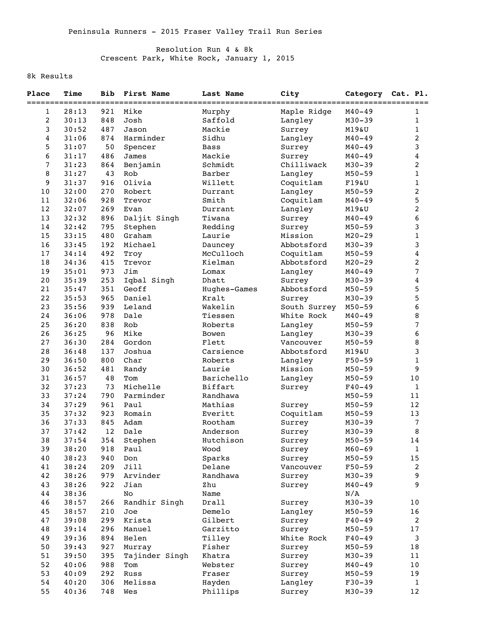## Resolution Run 4 & 8k Crescent Park, White Rock, January 1, 2015

## 8k Results

| Place | Time  | <b>Bib</b> | First Name     | Last Name    | City         |            | Category Cat. Pl.       |
|-------|-------|------------|----------------|--------------|--------------|------------|-------------------------|
| 1     | 28:13 | 921        | Mike           | Murphy       | Maple Ridge  | $M40 - 49$ | 1                       |
| 2     | 30:13 | 848        | Josh           | Saffold      | Langley      | $M30 - 39$ | 1                       |
| 3     | 30:52 | 487        | Jason          | Mackie       | Surrey       | M19&U      | 1                       |
| 4     | 31:06 | 874        | Harminder      | Sidhu        | Langley      | $M40 - 49$ | 2                       |
| 5     | 31:07 | 50         | Spencer        | Bass         | Surrey       | $M40 - 49$ | 3                       |
| 6     | 31:17 | 486        | James          | Mackie       | Surrey       | $M40 - 49$ | 4                       |
| 7     | 31:23 | 864        | Benjamin       | Schmidt      | Chilliwack   | $M30 - 39$ | 2                       |
| 8     | 31:27 | 43         | Rob            | Barber       | Langley      | $M50 - 59$ | 1                       |
| 9     | 31:37 | 916        | Olivia         | Willett      | Coquitlam    | F19&U      | 1                       |
| 10    | 32:00 | 270        | Robert         | Durrant      | Langley      | $M50 - 59$ | 2                       |
| 11    | 32:06 | 928        | Trevor         | Smith        | Coquitlam    | $M40 - 49$ | 5                       |
| $12$  | 32:07 | 269        | Evan           | Durrant      | Langley      | M19&U      | $\overline{\mathbf{c}}$ |
| 13    | 32:32 | 896        | Daljit Singh   | Tiwana       | Surrey       | $M40 - 49$ | 6                       |
| 14    | 32:42 | 795        | Stephen        | Redding      | Surrey       | $M50 - 59$ | 3                       |
| 15    | 33:15 | 480        | Graham         | Laurie       | Mission      | $M20 - 29$ | $\mathbf 1$             |
| 16    | 33:45 | 192        | Michael        | Dauncey      | Abbotsford   | $M30 - 39$ | 3                       |
| 17    | 34:14 | 492        | Troy           | McCulloch    | Coquitlam    | $M50 - 59$ | 4                       |
| 18    | 34:36 | 415        | Trevor         | Kielman      | Abbotsford   | $M20 - 29$ | 2                       |
| 19    | 35:01 | 973        | Jim            | Lomax        | Langley      | $M40 - 49$ | 7                       |
| 20    | 35:39 | 253        | Iqbal Singh    | Dhatt        | Surrey       | $M30 - 39$ | $\overline{\mathbf{4}}$ |
| 21    | 35:47 | 351        | Geoff          | Hughes-Games | Abbotsford   | $M50 - 59$ | 5                       |
| 22    | 35:53 | 965        | Daniel         | Kralt        | Surrey       | $M30 - 39$ | 5                       |
| 23    | 35:56 | 939        | Leland         | Wakelin      | South Surrey | $M50 - 59$ | 6                       |
| 24    | 36:06 | 978        | Dale           | Tiessen      | White Rock   | $M40 - 49$ | 8                       |
| 25    | 36:20 | 838        | Rob            | Roberts      | Langley      | $M50 - 59$ | 7                       |
| 26    | 36:25 | 96         | Mike           | Bowen        | Langley      | $M30 - 39$ | 6                       |
| 27    | 36:30 | 284        | Gordon         | Flett        | Vancouver    | $M50 - 59$ | 8                       |
| 28    | 36:48 | 137        | Joshua         | Carsience    | Abbotsford   | M19&U      | 3                       |
| 29    | 36:50 | 800        | Char           | Roberts      | Langley      | $F50 - 59$ | $\mathbf 1$             |
| 30    | 36:52 | 481        | Randy          | Laurie       | Mission      | $M50 - 59$ | 9                       |
| 31    | 36:57 | 48         | Tom            | Barichello   | Langley      | $M50 - 59$ | $10$                    |
| 32    | 37:23 | 73         | Michelle       | Biffart      | Surrey       | $F40 - 49$ | 1                       |
| 33    | 37:24 | 790        | Parminder      | Randhawa     |              | $M50 - 59$ | 11                      |
| 34    | 37:29 | 961        | Paul           | Mathias      | Surrey       | $M50 - 59$ | 12                      |
| 35    | 37:32 | 923        | Romain         | Everitt      | Coquitlam    | $M50 - 59$ | 13                      |
| 36    | 37:33 | 845        | Adam           | Rootham      | Surrey       | $M30 - 39$ | 7                       |
| 37    | 37:42 | 12         | Dale           | Anderson     | Surrey       | $M30 - 39$ | 8                       |
| 38    | 37:54 | 354        | Stephen        | Hutchison    | Surrey       | $M50 - 59$ | 14                      |
| 39    | 38:20 | 918        | Paul           | Wood         | Surrey       | $M60 - 69$ | $\mathbf 1$             |
| 40    | 38:23 | 940        | Don            | Sparks       | Surrey       | $M50 - 59$ | 15                      |
| 41    | 38:24 | 209        | Jill           | Delane       | Vancouver    | $F50-59$   | 2                       |
| 42    | 38:26 | 979        | Arvinder       | Randhawa     | Surrey       | $M30 - 39$ | 9                       |
| 43    | 38:26 | 922        | Jian           | Zhu          | Surrey       | $M40 - 49$ | 9                       |
| 44    | 38:36 |            | No             | Name         |              | N/A        |                         |
| 46    | 38:57 | 266        | Randhir Singh  | Drall        | Surrey       | $M30 - 39$ | 10                      |
| 45    | 38:57 | 210        | Joe            | Demelo       | Langley      | $M50 - 59$ | 16                      |
| 47    | 39:08 | 299        | Krista         | Gilbert      | Surrey       | $F40 - 49$ | 2                       |
| 48    | 39:14 | 296        | Manuel         | Garzitto     | Surrey       | $M50 - 59$ | $17$                    |
| 49    | 39:36 | 894        | Helen          | Tilley       | White Rock   | $F40 - 49$ | 3                       |
| 50    | 39:43 | 927        | Murray         | Fisher       | Surrey       | $M50 - 59$ | 18                      |
| 51    | 39:50 | 395        | Tajinder Singh | Khatra       | Surrey       | $M30 - 39$ | 11                      |
| 52    | 40:06 | 988        | Tom            | Webster      | Surrey       | $M40 - 49$ | $10$                    |
| 53    | 40:09 | 292        | Russ           | Fraser       | Surrey       | $M50 - 59$ | 19                      |
| 54    | 40:20 | 306        | Melissa        | Hayden       | Langley      | $F30-39$   | 1                       |
| 55    | 40:36 | 748        | Wes            | Phillips     | Surrey       | $M30 - 39$ | 12                      |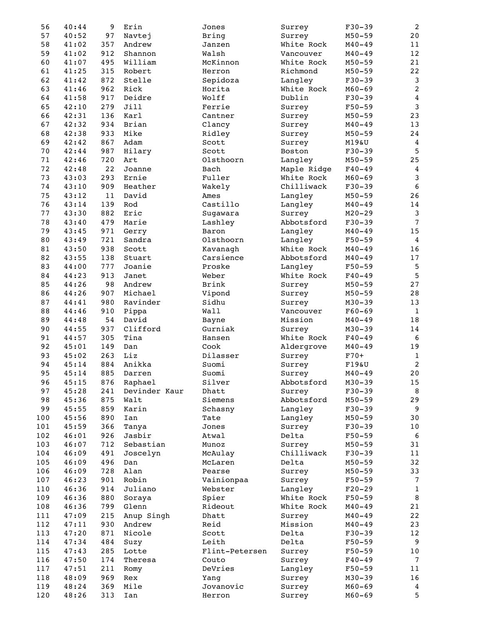| 56  | 40:44 | 9      | Erin          | Jones          | Surrey      | $F30-39$   | $\overline{a}$  |
|-----|-------|--------|---------------|----------------|-------------|------------|-----------------|
| 57  | 40:52 | 97     | Navtej        | <b>Bring</b>   | Surrey      | $M50 - 59$ | 20              |
| 58  | 41:02 | 357    | Andrew        | Janzen         | White Rock  | $M40 - 49$ | 11              |
| 59  | 41:02 | 912    | Shannon       | Walsh          | Vancouver   | $M40 - 49$ | 12              |
| 60  | 41:07 | 495    | William       | McKinnon       | White Rock  | $M50 - 59$ | 21              |
| 61  | 41:25 | 315    | Robert        | Herron         | Richmond    | $M50 - 59$ | 22              |
| 62  | 41:42 | 872    | Stelle        | Sepidoza       | Langley     | $F30 - 39$ | $\mathbf{3}$    |
| 63  | 41:46 | 962    | Rick          | Horita         | White Rock  | $M60 - 69$ | $\sqrt{2}$      |
| 64  | 41:58 | 917    | Deidre        | Wolff          | Dublin      | $F30-39$   | $\overline{4}$  |
| 65  | 42:10 | 279    | Jill          | Ferrie         | Surrey      | $F50 - 59$ | $\mathbf{3}$    |
| 66  | 42:31 | 136    | Karl          | Cantner        | Surrey      | $M50 - 59$ | 23              |
| 67  | 42:32 | 934    | Brian         | Clancy         | Surrey      | $M40 - 49$ | 13              |
| 68  | 42:38 | 933    | Mike          | Ridley         | Surrey      | $M50 - 59$ | 24              |
| 69  | 42:42 | 867    | Adam          | Scott          | Surrey      | M19&U      | 4               |
| 70  | 42:44 | 987    | Hilary        | Scott          | Boston      | $F30 - 39$ | 5               |
| 71  | 42:46 | 720    | Art           | Olsthoorn      | Langley     | $M50 - 59$ | 25              |
| 72  | 42:48 | 22     | Joanne        | Bach           | Maple Ridge | $F40 - 49$ | $\overline{4}$  |
| 73  | 43:03 | 293    | Ernie         | Fuller         | White Rock  | $M60 - 69$ | $\mathsf 3$     |
| 74  | 43:10 | 909    | Heather       |                | Chilliwack  | $F30 - 39$ | $\sqrt{6}$      |
|     |       |        |               | Wakely         |             |            |                 |
| 75  | 43:12 | $1\,1$ | David         | Ames           | Langley     | $M50 - 59$ | 26              |
| 76  | 43:14 | 139    | Rod           | Castillo       | Langley     | $M40 - 49$ | $1\,4$          |
| 77  | 43:30 | 882    | Eric          | Sugawara       | Surrey      | $M20 - 29$ | $\mathbf{3}$    |
| 78  | 43:40 | 479    | Marie         | Lashley        | Abbotsford  | $F30 - 39$ | $\overline{7}$  |
| 79  | 43:45 | 971    | Gerry         | Baron          | Langley     | $M40 - 49$ | 15              |
| 80  | 43:49 | 721    | Sandra        | Olsthoorn      | Langley     | $F50 - 59$ | $\overline{4}$  |
| 81  | 43:50 | 938    | Scott         | Kavanagh       | White Rock  | $M40 - 49$ | 16              |
| 82  | 43:55 | 138    | Stuart        | Carsience      | Abbotsford  | $M40 - 49$ | 17              |
| 83  | 44:00 | 777    | Joanie        | Proske         | Langley     | $F50 - 59$ | $\sqrt{5}$      |
| 84  | 44:23 | 913    | Janet         | Weber          | White Rock  | $F40 - 49$ | $\overline{5}$  |
| 85  | 44:26 | 98     | Andrew        | Brink          | Surrey      | $M50 - 59$ | 27              |
| 86  | 44:26 | 907    | Michael       | Vipond         | Surrey      | $M50 - 59$ | 28              |
| 87  | 44:41 | 980    | Ravinder      | Sidhu          | Surrey      | $M30 - 39$ | 13              |
| 88  | 44:46 | 910    | Pippa         | Wall           | Vancouver   | $F60 - 69$ | $\mathbf{1}$    |
| 89  | 44:48 | 54     | David         | Bayne          | Mission     | $M40 - 49$ | $18\,$          |
| 90  | 44:55 | 937    | Clifford      | Gurniak        | Surrey      | $M30 - 39$ | 14              |
| 91  | 44:57 | 305    | Tina          | Hansen         | White Rock  | $F40 - 49$ | 6               |
| 92  | 45:01 | 149    | Dan           | Cook           | Aldergrove  | $M40 - 49$ | 19              |
| 93  | 45:02 | 263    | Liz           | Dilasser       | Surrey      | $F70+$     | $1\,$           |
| 94  | 45:14 | 884    | Anikka        | Suomi          | Surrey      | F19&U      | $\sqrt{2}$      |
| 95  | 45:14 | 885    | Darren        | Suomi          | Surrey      | $M40 - 49$ | $20$            |
| 96  | 45:15 | 876    | Raphael       | Silver         | Abbotsford  | $M30 - 39$ | 15              |
| 97  | 45:28 | 241    | Devinder Kaur | Dhatt          | Surrey      | $F30-39$   | 8               |
| 98  | 45:36 | 875    | Walt          | Siemens        | Abbotsford  | $M50 - 59$ | 29              |
| 99  | 45:55 | 859    | Karin         | Schasny        | Langley     | $F30-39$   | 9               |
| 100 | 45:56 | 890    | Ian           | Tate           | Langley     | $M50 - 59$ | 30              |
| 101 | 45:59 | 366    | Tanya         | Jones          | Surrey      | $F30-39$   | 10              |
| 102 | 46:01 | 926    | Jasbir        | Atwal          | Delta       | $F50 - 59$ | 6               |
| 103 |       | 712    |               | Munoz          |             | $M50 - 59$ | 31              |
|     | 46:07 |        | Sebastian     |                | Surrey      |            |                 |
| 104 | 46:09 | 491    | Joscelyn      | McAulay        | Chilliwack  | $F30-39$   | 11              |
| 105 | 46:09 | 496    | Dan           | McLaren        | Delta       | $M50 - 59$ | 32              |
| 106 | 46:09 | 728    | Alan          | Pearse         | Surrey      | $M50 - 59$ | 33              |
| 107 | 46:23 | 901    | Robin         | Vainionpaa     | Surrey      | $F50 - 59$ | $\overline{7}$  |
| 110 | 46:36 | 914    | Juliano       | Webster        | Langley     | $F20-29$   | $\mathbf{1}$    |
| 109 | 46:36 | 880    | Soraya        | Spier          | White Rock  | $F50 - 59$ | 8               |
| 108 | 46:36 | 799    | Glenn         | Rideout        | White Rock  | $M40 - 49$ | 21              |
| 111 | 47:09 | 215    | Anup Singh    | Dhatt          | Surrey      | $M40 - 49$ | 22              |
| 112 | 47:11 | 930    | Andrew        | Reid           | Mission     | $M40 - 49$ | 23              |
| 113 | 47:20 | 871    | Nicole        | Scott          | Delta       | $F30-39$   | 12              |
| 114 | 47:34 | 484    | Suzy          | Leith          | Delta       | $F50 - 59$ | 9               |
| 115 | 47:43 | 285    | Lotte         | Flint-Petersen | Surrey      | $F50 - 59$ | 10              |
| 116 | 47:50 | 174    | Theresa       | Couto          | Surrey      | $F40 - 49$ | $7\phantom{.0}$ |
| 117 | 47:51 | 211    | Romy          | DeVries        | Langley     | $F50 - 59$ | 11              |
| 118 | 48:09 | 969    | Rex           | Yang           | Surrey      | $M30 - 39$ | 16              |
| 119 | 48:24 | 369    | Mile          | Jovanovic      | Surrey      | $M60 - 69$ | 4               |
| 120 | 48:26 | 313    | Ian           | Herron         | Surrey      | $M60 - 69$ | 5               |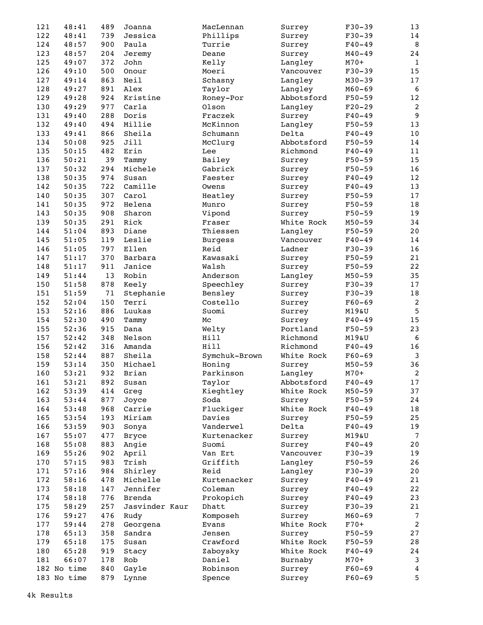| 121 | 48:41       | 489 | Joanna         | MacLennan      | Surrey     | $F30 - 39$ | 13                      |
|-----|-------------|-----|----------------|----------------|------------|------------|-------------------------|
| 122 | 48:41       | 739 | Jessica        | Phillips       | Surrey     | $F30-39$   | 14                      |
| 124 | 48:57       | 900 | Paula          | Turrie         | Surrey     | $F40 - 49$ | 8                       |
| 123 | 48:57       | 204 | Jeremy         | Deane          | Surrey     | $M40 - 49$ | 24                      |
| 125 | 49:07       | 372 | John           | Kelly          | Langley    | $M70+$     | $\mathbf{1}$            |
| 126 | 49:10       | 500 | Onour          | Moeri          | Vancouver  | $F30-39$   | 15                      |
| 127 | 49:14       | 863 | Neil           | Schasny        | Langley    | $M30 - 39$ | 17                      |
| 128 | 49:27       | 891 | Alex           | Taylor         | Langley    | $M60 - 69$ | 6                       |
| 129 | 49:28       | 924 | Kristine       | Roney-Por      | Abbotsford | $F50 - 59$ | 12                      |
| 130 | 49:29       | 977 | Carla          | Olson          | Langley    | $F20-29$   | $\overline{\mathbf{c}}$ |
| 131 | 49:40       | 288 | Doris          | Fraczek        | Surrey     | $F40 - 49$ | $\overline{9}$          |
| 132 | 49:40       | 494 | Millie         | McKinnon       | Langley    | $F50 - 59$ | 13                      |
| 133 | 49:41       | 866 | Sheila         | Schumann       | Delta      | $F40 - 49$ | $10$                    |
| 134 | 50:08       | 925 | Jill           | McClurg        | Abbotsford | $F50 - 59$ | 14                      |
| 135 | 50:15       | 482 | Erin           | Lee            | Richmond   | $F40 - 49$ | 11                      |
| 136 | 50:21       | 39  | Tammy          | Bailey         | Surrey     | $F50 - 59$ | 15                      |
| 137 | 50:32       | 294 | Michele        | Gabrick        | Surrey     | $F50 - 59$ | 16                      |
| 138 | 50:35       | 974 | Susan          | Faester        | Surrey     | $F40 - 49$ | 12                      |
| 142 |             | 722 | Camille        | Owens          |            | $F40 - 49$ | 13                      |
|     | 50:35       |     |                |                | Surrey     |            |                         |
| 140 | 50:35       | 307 | Carol          | Heatley        | Surrey     | $F50 - 59$ | 17                      |
| 141 | 50:35       | 972 | Helena         | Munro          | Surrey     | $F50 - 59$ | 18                      |
| 143 | 50:35       | 908 | Sharon         | Vipond         | Surrey     | $F50 - 59$ | 19                      |
| 139 | 50:35       | 291 | Rick           | Fraser         | White Rock | $M50 - 59$ | 34                      |
| 144 | 51:04       | 893 | Diane          | Thiessen       | Langley    | $F50 - 59$ | 20                      |
| 145 | 51:05       | 119 | Leslie         | <b>Burgess</b> | Vancouver  | $F40 - 49$ | 14                      |
| 146 | 51:05       | 797 | Ellen          | Reid           | Ladner     | $F30-39$   | 16                      |
| 147 | 51:17       | 370 | Barbara        | Kawasaki       | Surrey     | $F50 - 59$ | 21                      |
| 148 | 51:17       | 911 | Janice         | Walsh          | Surrey     | $F50 - 59$ | 22                      |
| 149 | 51:44       | 13  | Robin          | Anderson       | Langley    | $M50 - 59$ | 35                      |
| 150 | 51:58       | 878 | Keely          | Speechley      | Surrey     | $F30-39$   | 17                      |
| 151 | 51:59       | 71  | Stephanie      | Bensley        | Surrey     | $F30 - 39$ | $1\,8$                  |
| 152 | 52:04       | 150 | Terri          | Costello       | Surrey     | $F60 - 69$ | $\overline{c}$          |
| 153 | 52:16       | 886 | Luukas         | Suomi          | Surrey     | M19&U      | 5                       |
| 154 | 52:30       | 490 | Tammy          | Мc             | Surrey     | $F40 - 49$ | 15                      |
| 155 | 52:36       | 915 | Dana           | Welty          | Portland   | $F50 - 59$ | 23                      |
| 157 | 52:42       | 348 | Nelson         | Hill           | Richmond   | M19&U      | 6                       |
| 156 | 52:42       | 316 | Amanda         | Hill           | Richmond   | $F40 - 49$ | 16                      |
| 158 | 52:44       | 887 | Sheila         | Symchuk-Brown  | White Rock | $F60 - 69$ | $\mathsf 3$             |
| 159 | 53:14       | 350 | Michael        | Honing         | Surrey     | $M50 - 59$ | 36                      |
| 160 | 53:21       | 932 | Brian          | Parkinson      |            | $M70+$     | $\overline{2}$          |
|     |             |     |                |                | Langley    |            |                         |
| 161 | 53:21       | 892 | Susan          | Taylor         | Abbotsford | $F40 - 49$ | 17                      |
| 162 | 53:39       | 414 | Greg           | Kieghtley      | White Rock | $M50 - 59$ | 37                      |
| 163 | 53:44       | 877 | Joyce          | Soda           | Surrey     | $F50 - 59$ | 24                      |
| 164 | 53:48       | 968 | Carrie         | Fluckiger      | White Rock | $F40 - 49$ | 18                      |
| 165 | 53:54       | 193 | Miriam         | Davies         | Surrey     | $F50 - 59$ | 25                      |
| 166 | 53:59       | 903 | Sonya          | Vanderwel      | Delta      | $F40 - 49$ | 19                      |
| 167 | 55:07       | 477 | <b>Bryce</b>   | Kurtenacker    | Surrey     | M19&U      | $7\phantom{.0}$         |
| 168 | 55:08       | 883 | Angie          | Suomi          | Surrey     | $F40 - 49$ | 20                      |
| 169 | 55:26       | 902 | April          | Van Ert        | Vancouver  | $F30-39$   | 19                      |
| 170 | 57:15       | 983 | Trish          | Griffith       | Langley    | $F50 - 59$ | 26                      |
| 171 | 57:16       | 984 | Shirley        | Reid           | Langley    | $F30-39$   | 20                      |
| 172 | 58:16       | 478 | Michelle       | Kurtenacker    | Surrey     | $F40 - 49$ | 21                      |
| 173 | 58:18       | 147 | Jennifer       | Coleman        | Surrey     | $F40 - 49$ | 22                      |
| 174 | 58:18       | 776 | <b>Brenda</b>  | Prokopich      | Surrey     | $F40 - 49$ | 23                      |
| 175 | 58:29       | 257 | Jasvinder Kaur | Dhatt          | Surrey     | $F30-39$   | 21                      |
| 176 | 59:27       | 476 | Rudy           | Komposeh       | Surrey     | $M60 - 69$ | $\overline{7}$          |
| 177 | 59:44       | 278 | Georgena       | Evans          | White Rock | $F70+$     | $\overline{c}$          |
| 178 | 65:13       | 358 | Sandra         | Jensen         | Surrey     | $F50 - 59$ | 27                      |
| 179 | 65:18       | 175 | Susan          | Crawford       | White Rock | $F50 - 59$ | 28                      |
| 180 | 65:28       | 919 | Stacy          | Zaboysky       | White Rock | $F40 - 49$ | 24                      |
| 181 | 66:07       | 178 | Rob            | Daniel         | Burnaby    | $M70+$     | 3                       |
|     | 182 No time | 840 | Gayle          | Robinson       | Surrey     | $F60 - 69$ | 4                       |
|     | 183 No time | 879 |                |                |            | $F60 - 69$ | 5                       |
|     |             |     | Lynne          | Spence         | Surrey     |            |                         |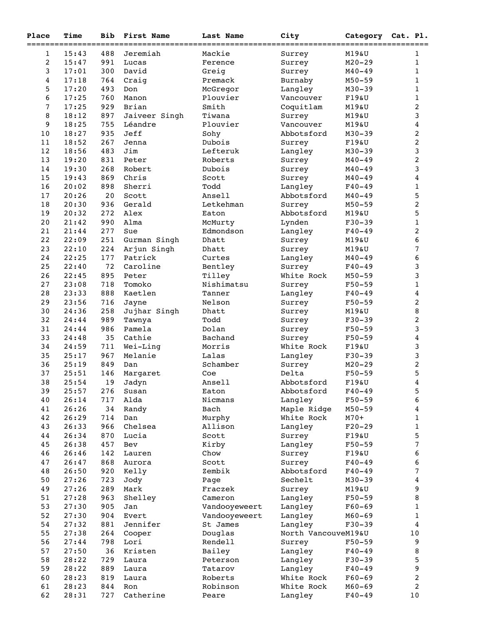| Place            | Time  | <b>Bib</b> | First Name    | Last Name     | City                | Category Cat. Pl. |                         |
|------------------|-------|------------|---------------|---------------|---------------------|-------------------|-------------------------|
| $\mathbf{1}$     | 15:43 | 488        | Jeremiah      | Mackie        | Surrey              | M19&U             | $===$<br>1              |
| $\boldsymbol{2}$ | 15:47 | 991        | Lucas         | Ference       | Surrey              | $M20 - 29$        | 1                       |
| $\mathbf{3}$     | 17:01 | 300        | David         | Greig         | Surrey              | $M40 - 49$        | 1                       |
| $\overline{4}$   | 17:18 | 764        | Craig         | Premack       | Burnaby             | $M50 - 59$        | 1                       |
| 5                | 17:20 | 493        | Don           | McGregor      | Langley             | $M30 - 39$        | 1                       |
| 6                | 17:25 | 760        | Manon         | Plouvier      | Vancouver           | F19&U             | $\mathbf 1$             |
| $\overline{7}$   | 17:25 | 929        | Brian         | Smith         | Coquitlam           | M19&U             | 2                       |
| 8                | 18:12 | 897        | Jaiveer Singh | Tiwana        | Surrey              | M19&U             | 3                       |
| 9                | 18:25 | 755        | Léandre       | Plouvier      | Vancouver           | M19&U             | $\overline{\mathbf{4}}$ |
| 10               | 18:27 | 935        | Jeff          | Sohy          | Abbotsford          | $M30 - 39$        | 2                       |
| 11               | 18:52 | 267        | Jenna         | Dubois        | Surrey              | F19&U             | 2                       |
| 12               | 18:56 | 483        | Jim           | Lefteruk      | Langley             | $M30 - 39$        | 3                       |
| 13               | 19:20 | 831        | Peter         | Roberts       | Surrey              | $M40 - 49$        | $\overline{\mathbf{c}}$ |
| 14               | 19:30 | 268        | Robert        | Dubois        | Surrey              | $M40 - 49$        | 3                       |
| 15               | 19:43 | 869        | Chris         | Scott         | Surrey              | $M40 - 49$        | 4                       |
| 16               | 20:02 | 898        | Sherri        | Todd          | Langley             | $F40 - 49$        | 1                       |
| 17               | 20:26 | 20         | Scott         | Ansell        | Abbotsford          | $M40 - 49$        | 5                       |
| 18               | 20:30 | 936        | Gerald        | Letkehman     | Surrey              | $M50 - 59$        | $\overline{\mathbf{c}}$ |
| 19               | 20:32 | 272        | Alex          | Eaton         | Abbotsford          | M19&U             | 5                       |
| $20$             | 21:42 | 990        | Alma          | McMurty       | Lynden              | $F30-39$          | $\mathbf 1$             |
| 21               | 21:44 | 277        | Sue           | Edmondson     | Langley             | $F40 - 49$        | 2                       |
| 22               | 22:09 | 251        | Gurman Singh  | Dhatt         | Surrey              | M19&U             | 6                       |
| 23               | 22:10 | 224        | Arjun Singh   | Dhatt         | Surrey              | M19&U             | 7                       |
| 24               | 22:25 | 177        | Patrick       | Curtes        | Langley             | $M40 - 49$        | 6                       |
| 25               | 22:40 | 72         | Caroline      | Bentley       | Surrey              | $F40 - 49$        | 3                       |
| 26               | 22:45 | 895        | Peter         | Tilley        | White Rock          | $M50 - 59$        | 3                       |
| 27               | 23:08 | 718        | Tomoko        | Nishimatsu    | Surrey              | $F50 - 59$        | 1                       |
| 28               | 23:33 | 888        | Kaetlen       | Tanner        | Langley             | $F40 - 49$        | $\overline{\mathbf{4}}$ |
| 29               | 23:56 | 716        | Jayne         | Nelson        | Surrey              | $F50 - 59$        | $\overline{\mathbf{c}}$ |
| 30               | 24:36 | 258        | Jujhar Singh  | Dhatt         | Surrey              | M19&U             | 8                       |
| 32               | 24:44 | 989        | Tawnya        | Todd          | Surrey              | $F30 - 39$        | $\overline{\mathbf{c}}$ |
| 31               | 24:44 | 986        | Pamela        | Dolan         | Surrey              | $F50 - 59$        | 3                       |
| 33               | 24:48 | 35         | Cathie        | Bachand       | Surrey              | $F50 - 59$        | 4                       |
| 34               | 24:59 | 711        | Wei-Ling      | Morris        | White Rock          | F19&U             | 3                       |
| 35               | 25:17 | 967        | Melanie       | Lalas         | Langley             | $F30-39$          | 3                       |
| 36               | 25:19 | 849        | Dan           | Schamber      | Surrey              | $M20 - 29$        | $\overline{\mathbf{c}}$ |
| 37               | 25:51 | 146        | Margaret      | Coe           | Delta               | $F50 - 59$        | 5                       |
| 38               | 25:54 | 19         | Jadyn         | Ansell        | Abbotsford          | F19&U             | $\overline{\mathbf{4}}$ |
| 39               | 25:57 | 276        | Susan         | Eaton         | Abbotsford          | $F40 - 49$        | 5                       |
| 40               | 26:14 | 717        | Alda          | Nicmans       | Langley             | $F50 - 59$        | 6                       |
| 41               | 26:26 | 34         | Randy         | Bach          | Maple Ridge         | $M50 - 59$        | 4                       |
| 42               | 26:29 | 714        | Dan           | Murphy        | White Rock          | $M70+$            | 1                       |
| 43               | 26:33 | 966        | Chelsea       | Allison       | Langley             | $F20-29$          | $\mathbf 1$             |
| 44               | 26:34 | 870        | Lucia         | Scott         | Surrey              | F19&U             | 5                       |
| 45               | 26:38 | 457        | Bev           | Kirby         | Langley             | $F50 - 59$        | $\overline{7}$          |
| 46               | 26:46 | 142        | Lauren        | Chow          | Surrey              | F19&U             | 6                       |
| 47               | 26:47 | 868        | Aurora        | Scott         | Surrey              | $F40 - 49$        | 6                       |
| 48               | 26:50 | 920        | Kelly         | Zembik        | Abbotsford          | $F40 - 49$        | 7                       |
| 50               | 27:26 | 723        | Jody          | Page          | Sechelt             | $M30 - 39$        | 4                       |
| 49               | 27:26 | 289        | Mark          | Fraczek       | Surrey              | M19&U             | 9                       |
| 51               | 27:28 | 963        | Shelley       | Cameron       | Langley             | $F50 - 59$        | 8                       |
| 53               | 27:30 | 905        | Jan           | Vandooyeweert | Langley             | $F60-69$          | 1                       |
| 52               | 27:30 | 904        | Evert         | Vandooyeweert | Langley             | $M60 - 69$        | 1                       |
| 54               | 27:32 | 881        | Jennifer      | St James      | Langley             | $F30-39$          | 4                       |
| 55               | 27:38 | 264        | Cooper        | Douglas       | North VancouveM19&U |                   | $10$                    |
| 56               | 27:44 | 798        | Lori          | Rendell       | Surrey              | $F50 - 59$        | 9                       |
| 57               | 27:50 | 36         | Kristen       | Bailey        | Langley             | $F40 - 49$        | 8                       |
| 58               | 28:22 | 729        | Laura         | Peterson      | Langley             | $F30-39$          | 5                       |
| 59               | 28:22 | 889        | Laura         | Tatarov       | Langley             | $F40 - 49$        | 9                       |
| 60               | 28:23 | 819        | Laura         | Roberts       | White Rock          | $F60 - 69$        | 2                       |
| 61               | 28:23 | 844        | Ron           | Robinson      | White Rock          | $M60 - 69$        | $\overline{c}$          |
| 62               | 28:31 | 727        | Catherine     | Peare         | Langley             | $F40 - 49$        | $10$                    |